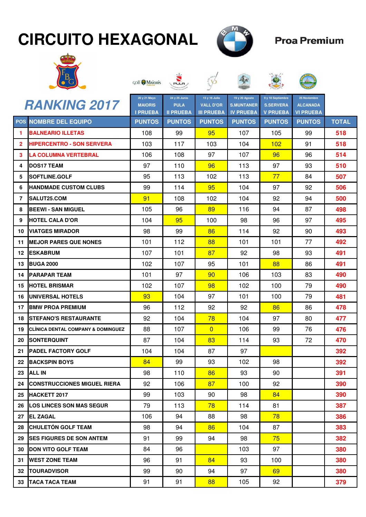## **CIRCUITO HEXAGONAL**



泰

## **Proa Premium**



| GOLF <b>MAIORIS</b> | <b>NO PULA</b> |
|---------------------|----------------|
|---------------------|----------------|





|              | <b>RANKING 2017</b>                           | 20 y 21 Mayo<br><b>MAIORIS</b>   | 24 y 25 Junio<br><b>PULA</b>      | 15 y 16 Julio<br><b>VALL D'OR</b>  | 19 y 20 Agosto<br><b>S.MUNTANER</b> | 9 y 10 Septiembre<br><b>S.SERVERA</b> | 25 Noviembre<br><b>ALCANADA</b>   |              |
|--------------|-----------------------------------------------|----------------------------------|-----------------------------------|------------------------------------|-------------------------------------|---------------------------------------|-----------------------------------|--------------|
|              | <b>POS NOMBRE DEL EQUIPO</b>                  | <b>I PRUEBA</b><br><b>PUNTOS</b> | <b>II PRUEBA</b><br><b>PUNTOS</b> | <b>III PRUEBA</b><br><b>PUNTOS</b> | <b>IV PRUEBA</b><br><b>PUNTOS</b>   | <b>V PRUEBA</b><br><b>PUNTOS</b>      | <b>VI PRUEBA</b><br><b>PUNTOS</b> | <b>TOTAL</b> |
| 1            | <b>BALNEARIO ILLETAS</b>                      | 108                              | 99                                | 95                                 | 107                                 | 105                                   | 99                                | 518          |
| $\mathbf{2}$ | <b>HIPERCENTRO - SON SERVERA</b>              | 103                              | 117                               | 103                                | 104                                 | 102                                   | 91                                | 518          |
| 3            | LA COLUMNA VERTEBRAL                          | 106                              | 108                               | 97                                 | 107                                 | 96                                    | 96                                | 514          |
| 4            | <b>DOS17 TEAM</b>                             | 97                               | 110                               | 96                                 | 113                                 | 97                                    | 93                                | 510          |
| 5            | <b>SOFTLINE.GOLF</b>                          | 95                               | 113                               | 102                                | 113                                 | 77                                    | 84                                | 507          |
| 6            | <b>HANDMADE CUSTOM CLUBS</b>                  | 99                               | 114                               | 95                                 | 104                                 | 97                                    | 92                                | 506          |
| 7            | <b>SALUT25.COM</b>                            | 91                               | 108                               | 102                                | 104                                 | 92                                    | 94                                | 500          |
| 8            | <b>BEEWI - SAN MIGUEL</b>                     | 105                              | 96                                | 89                                 | 116                                 | 94                                    | 87                                | 498          |
| 9            | <b>HOTEL CALA D'OR</b>                        | 104                              | 95                                | 100                                | 98                                  | 96                                    | 97                                | 495          |
| 10           | <b>VIATGES MIRADOR</b>                        | 98                               | 99                                | 86                                 | 114                                 | 92                                    | 90                                | 493          |
| 11           | <b>MEJOR PARES QUE NONES</b>                  | 101                              | 112                               | 88                                 | 101                                 | 101                                   | 77                                | 492          |
| 12           | <b>ESKABRUM</b>                               | 107                              | 101                               | 87                                 | 92                                  | 98                                    | 93                                | 491          |
| 13           | <b>BUGA 2000</b>                              | 102                              | 107                               | 95                                 | 101                                 | 88                                    | 86                                | 491          |
| 14           | <b>PARAPAR TEAM</b>                           | 101                              | 97                                | 90                                 | 106                                 | 103                                   | 83                                | 490          |
| 15           | <b>HOTEL BRISMAR</b>                          | 102                              | 107                               | 98                                 | 102                                 | 100                                   | 79                                | 490          |
| 16           | UNIVERSAL HOTELS                              | 93                               | 104                               | 97                                 | 101                                 | 100                                   | 79                                | 481          |
| 17           | <b>BMW PROA PREMIUM</b>                       | 96                               | 112                               | 92                                 | 92                                  | 86                                    | 86                                | 478          |
| 18           | ISTEFANO'S RESTAURANTE                        | 92                               | 104                               | 78                                 | 104                                 | 97                                    | 80                                | 477          |
| 19           | <b>CLINICA DENTAL COMPANY &amp; DOMINGUEZ</b> | 88                               | 107                               | $\overline{0}$                     | 106                                 | 99                                    | 76                                | 476          |
| 20           | <b>SONTERQUINT</b>                            | 87                               | 104                               | 83                                 | 114                                 | 93                                    | 72                                | 470          |
| 21           | <b>PADEL FACTORY GOLF</b>                     | 104                              | 104                               | 87                                 | 97                                  |                                       |                                   | 392          |
| 22           | <b>BACKSPIN BOYS</b>                          | 84                               | 99                                | 93                                 | 102                                 | 98                                    |                                   | 392          |
| 23           | <b>ALL IN</b>                                 | 98                               | 110                               | 86                                 | 93                                  | 90                                    |                                   | 391          |
| 24 I         | <b>CONSTRUCCIONES MIGUEL RIERA</b>            | 92                               | 106                               | 87                                 | 100                                 | 92                                    |                                   | 390          |
| 25           | <b>HACKETT 2017</b>                           | 99                               | 103                               | 90                                 | 98                                  | 84                                    |                                   | 390          |
| 26           | <b>LOS LINCES SON MAS SEGUR</b>               | 79                               | 113                               | 78                                 | 114                                 | 81                                    |                                   | 387          |
| 27           | <b>EL ZAGAL</b>                               | 106                              | 94                                | 88                                 | 98                                  | 78                                    |                                   | 386          |
| 28           | <b>CHULETÓN GOLF TEAM</b>                     | 98                               | 94                                | 86                                 | 104                                 | 87                                    |                                   | 383          |
| 29           | <b>ISES FIGURES DE SON ANTEM</b>              | 91                               | 99                                | 94                                 | 98                                  | 75                                    |                                   | 382          |
| 30           | <b>IDON VITO GOLF TEAM</b>                    | 84                               | 96                                |                                    | 103                                 | 97                                    |                                   | 380          |
| 31           | <b>WEST ZONE TEAM</b>                         | 96                               | 91                                | 84                                 | 93                                  | 100                                   |                                   | 380          |
| 32           | <b>ITOURADVISOR</b>                           | 99                               | 90                                | 94                                 | 97                                  | 69                                    |                                   | 380          |
| 33           | <b>TACA TACA TEAM</b>                         | 91                               | 91                                | 88                                 | 105                                 | 92                                    |                                   | 379          |